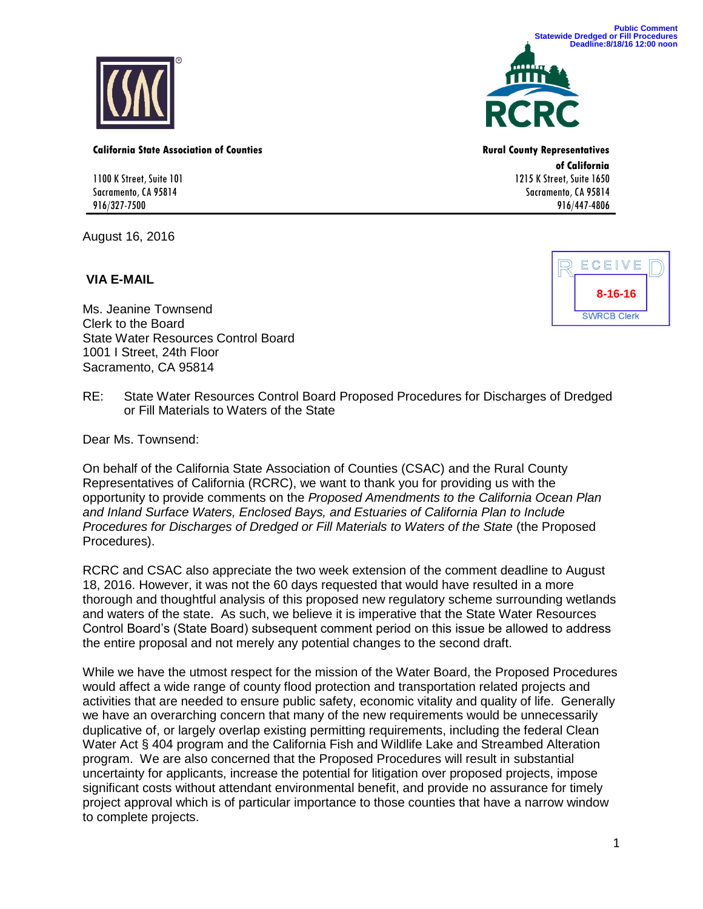

**California State Association of Counties Rural County Representatives** 

1100 K Street, Suite 101 Sacramento, CA 95814 916/327-7500

August 16, 2016

## **VIA E-MAIL**





**of California**  1215 K Street, Suite 1650 Sacramento, CA 95814 916/447-4806



Ms. Jeanine Townsend Clerk to the Board State Water Resources Control Board 1001 I Street, 24th Floor Sacramento, CA 95814

RE: State Water Resources Control Board Proposed Procedures for Discharges of Dredged or Fill Materials to Waters of the State

Dear Ms. Townsend:

On behalf of the California State Association of Counties (CSAC) and the Rural County Representatives of California (RCRC), we want to thank you for providing us with the opportunity to provide comments on the *Proposed Amendments to the California Ocean Plan and Inland Surface Waters, Enclosed Bays, and Estuaries of California Plan to Include Procedures for Discharges of Dredged or Fill Materials to Waters of the State (the Proposed* Procedures).

RCRC and CSAC also appreciate the two week extension of the comment deadline to August 18, 2016. However, it was not the 60 days requested that would have resulted in a more thorough and thoughtful analysis of this proposed new regulatory scheme surrounding wetlands and waters of the state. As such, we believe it is imperative that the State Water Resources Control Board's (State Board) subsequent comment period on this issue be allowed to address the entire proposal and not merely any potential changes to the second draft.

While we have the utmost respect for the mission of the Water Board, the Proposed Procedures would affect a wide range of county flood protection and transportation related projects and activities that are needed to ensure public safety, economic vitality and quality of life. Generally we have an overarching concern that many of the new requirements would be unnecessarily duplicative of, or largely overlap existing permitting requirements, including the federal Clean Water Act § 404 program and the California Fish and Wildlife Lake and Streambed Alteration program. We are also concerned that the Proposed Procedures will result in substantial uncertainty for applicants, increase the potential for litigation over proposed projects, impose significant costs without attendant environmental benefit, and provide no assurance for timely project approval which is of particular importance to those counties that have a narrow window to complete projects.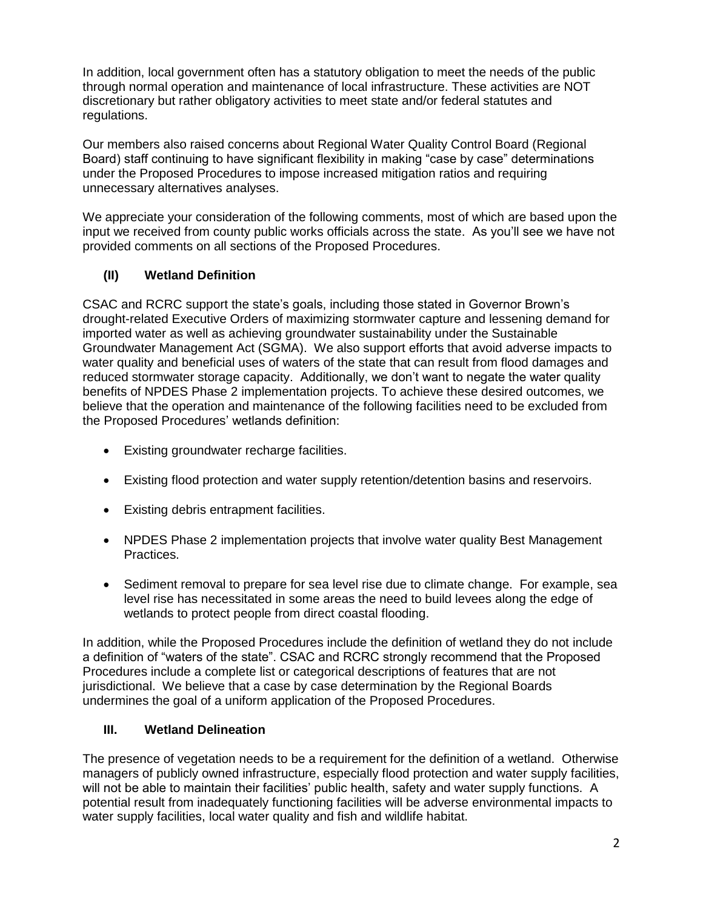In addition, local government often has a statutory obligation to meet the needs of the public through normal operation and maintenance of local infrastructure. These activities are NOT discretionary but rather obligatory activities to meet state and/or federal statutes and regulations.

Our members also raised concerns about Regional Water Quality Control Board (Regional Board) staff continuing to have significant flexibility in making "case by case" determinations under the Proposed Procedures to impose increased mitigation ratios and requiring unnecessary alternatives analyses.

We appreciate your consideration of the following comments, most of which are based upon the input we received from county public works officials across the state. As you'll see we have not provided comments on all sections of the Proposed Procedures.

# **(II) Wetland Definition**

CSAC and RCRC support the state's goals, including those stated in Governor Brown's drought-related Executive Orders of maximizing stormwater capture and lessening demand for imported water as well as achieving groundwater sustainability under the Sustainable Groundwater Management Act (SGMA). We also support efforts that avoid adverse impacts to water quality and beneficial uses of waters of the state that can result from flood damages and reduced stormwater storage capacity. Additionally, we don't want to negate the water quality benefits of NPDES Phase 2 implementation projects. To achieve these desired outcomes, we believe that the operation and maintenance of the following facilities need to be excluded from the Proposed Procedures' wetlands definition:

- Existing groundwater recharge facilities.
- Existing flood protection and water supply retention/detention basins and reservoirs.
- Existing debris entrapment facilities.
- NPDES Phase 2 implementation projects that involve water quality Best Management Practices.
- Sediment removal to prepare for sea level rise due to climate change. For example, sea level rise has necessitated in some areas the need to build levees along the edge of wetlands to protect people from direct coastal flooding.

In addition, while the Proposed Procedures include the definition of wetland they do not include a definition of "waters of the state". CSAC and RCRC strongly recommend that the Proposed Procedures include a complete list or categorical descriptions of features that are not jurisdictional. We believe that a case by case determination by the Regional Boards undermines the goal of a uniform application of the Proposed Procedures.

## **III. Wetland Delineation**

The presence of vegetation needs to be a requirement for the definition of a wetland. Otherwise managers of publicly owned infrastructure, especially flood protection and water supply facilities, will not be able to maintain their facilities' public health, safety and water supply functions. A potential result from inadequately functioning facilities will be adverse environmental impacts to water supply facilities, local water quality and fish and wildlife habitat.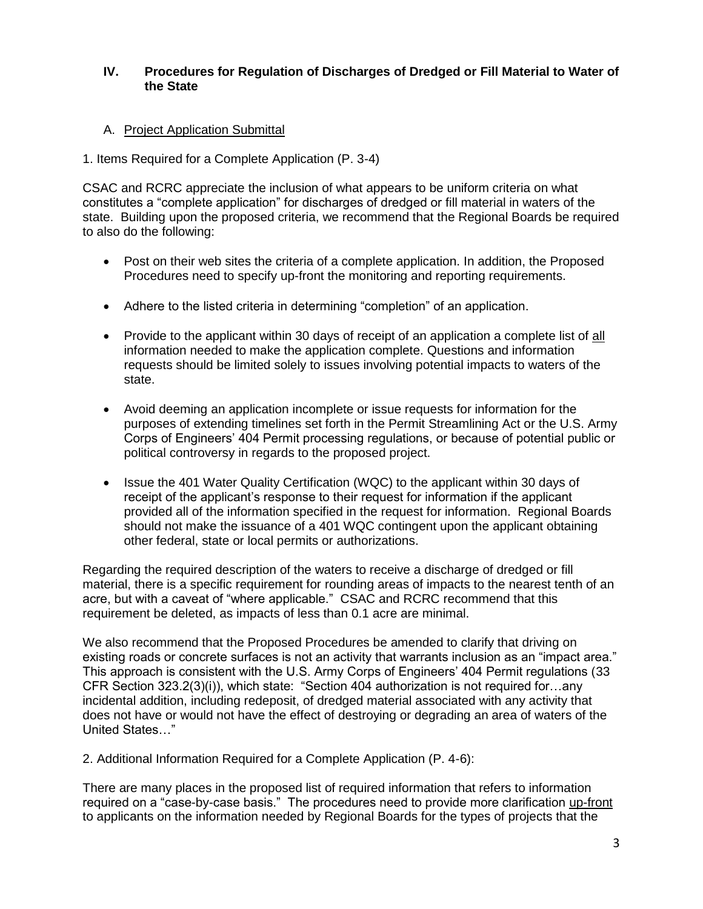### **IV. Procedures for Regulation of Discharges of Dredged or Fill Material to Water of the State**

## A. Project Application Submittal

#### 1. Items Required for a Complete Application (P. 3-4)

CSAC and RCRC appreciate the inclusion of what appears to be uniform criteria on what constitutes a "complete application" for discharges of dredged or fill material in waters of the state. Building upon the proposed criteria, we recommend that the Regional Boards be required to also do the following:

- Post on their web sites the criteria of a complete application. In addition, the Proposed Procedures need to specify up-front the monitoring and reporting requirements.
- Adhere to the listed criteria in determining "completion" of an application.
- Provide to the applicant within 30 days of receipt of an application a complete list of all information needed to make the application complete. Questions and information requests should be limited solely to issues involving potential impacts to waters of the state.
- Avoid deeming an application incomplete or issue requests for information for the purposes of extending timelines set forth in the Permit Streamlining Act or the U.S. Army Corps of Engineers' 404 Permit processing regulations, or because of potential public or political controversy in regards to the proposed project.
- Issue the 401 Water Quality Certification (WQC) to the applicant within 30 days of receipt of the applicant's response to their request for information if the applicant provided all of the information specified in the request for information. Regional Boards should not make the issuance of a 401 WQC contingent upon the applicant obtaining other federal, state or local permits or authorizations.

Regarding the required description of the waters to receive a discharge of dredged or fill material, there is a specific requirement for rounding areas of impacts to the nearest tenth of an acre, but with a caveat of "where applicable." CSAC and RCRC recommend that this requirement be deleted, as impacts of less than 0.1 acre are minimal.

We also recommend that the Proposed Procedures be amended to clarify that driving on existing roads or concrete surfaces is not an activity that warrants inclusion as an "impact area." This approach is consistent with the U.S. Army Corps of Engineers' 404 Permit regulations (33 CFR Section 323.2(3)(i)), which state: "Section 404 authorization is not required for…any incidental addition, including redeposit, of dredged material associated with any activity that does not have or would not have the effect of destroying or degrading an area of waters of the United States…"

2. Additional Information Required for a Complete Application (P. 4-6):

There are many places in the proposed list of required information that refers to information required on a "case-by-case basis." The procedures need to provide more clarification up-front to applicants on the information needed by Regional Boards for the types of projects that the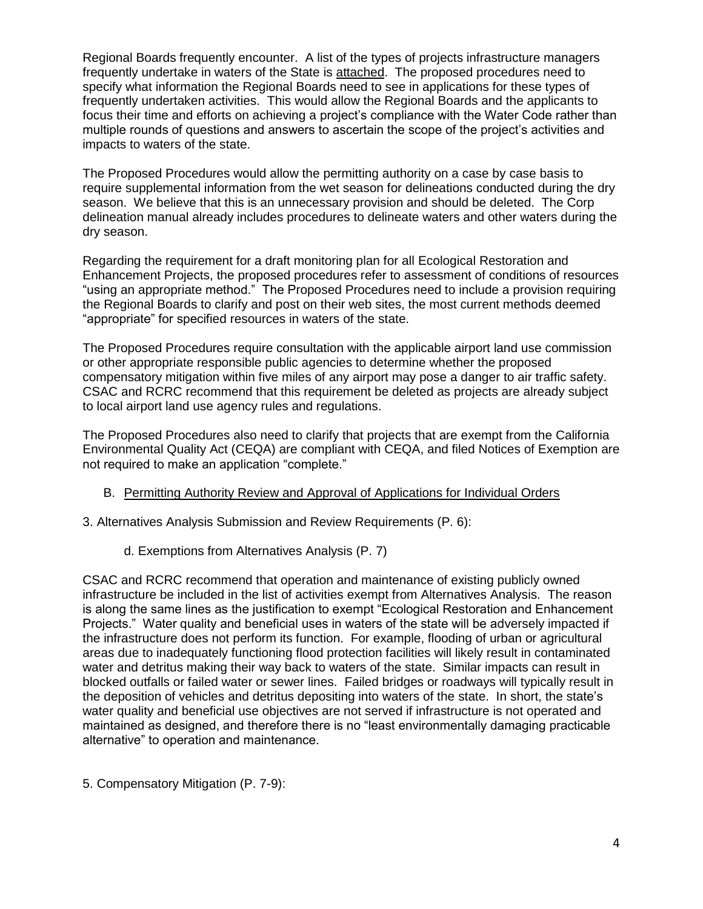Regional Boards frequently encounter. A list of the types of projects infrastructure managers frequently undertake in waters of the State is attached. The proposed procedures need to specify what information the Regional Boards need to see in applications for these types of frequently undertaken activities. This would allow the Regional Boards and the applicants to focus their time and efforts on achieving a project's compliance with the Water Code rather than multiple rounds of questions and answers to ascertain the scope of the project's activities and impacts to waters of the state.

The Proposed Procedures would allow the permitting authority on a case by case basis to require supplemental information from the wet season for delineations conducted during the dry season. We believe that this is an unnecessary provision and should be deleted. The Corp delineation manual already includes procedures to delineate waters and other waters during the dry season.

Regarding the requirement for a draft monitoring plan for all Ecological Restoration and Enhancement Projects, the proposed procedures refer to assessment of conditions of resources "using an appropriate method." The Proposed Procedures need to include a provision requiring the Regional Boards to clarify and post on their web sites, the most current methods deemed "appropriate" for specified resources in waters of the state.

The Proposed Procedures require consultation with the applicable airport land use commission or other appropriate responsible public agencies to determine whether the proposed compensatory mitigation within five miles of any airport may pose a danger to air traffic safety. CSAC and RCRC recommend that this requirement be deleted as projects are already subject to local airport land use agency rules and regulations.

The Proposed Procedures also need to clarify that projects that are exempt from the California Environmental Quality Act (CEQA) are compliant with CEQA, and filed Notices of Exemption are not required to make an application "complete."

## B. Permitting Authority Review and Approval of Applications for Individual Orders

- 3. Alternatives Analysis Submission and Review Requirements (P. 6):
	- d. Exemptions from Alternatives Analysis (P. 7)

CSAC and RCRC recommend that operation and maintenance of existing publicly owned infrastructure be included in the list of activities exempt from Alternatives Analysis. The reason is along the same lines as the justification to exempt "Ecological Restoration and Enhancement Projects." Water quality and beneficial uses in waters of the state will be adversely impacted if the infrastructure does not perform its function. For example, flooding of urban or agricultural areas due to inadequately functioning flood protection facilities will likely result in contaminated water and detritus making their way back to waters of the state. Similar impacts can result in blocked outfalls or failed water or sewer lines. Failed bridges or roadways will typically result in the deposition of vehicles and detritus depositing into waters of the state. In short, the state's water quality and beneficial use objectives are not served if infrastructure is not operated and maintained as designed, and therefore there is no "least environmentally damaging practicable alternative" to operation and maintenance.

5. Compensatory Mitigation (P. 7-9):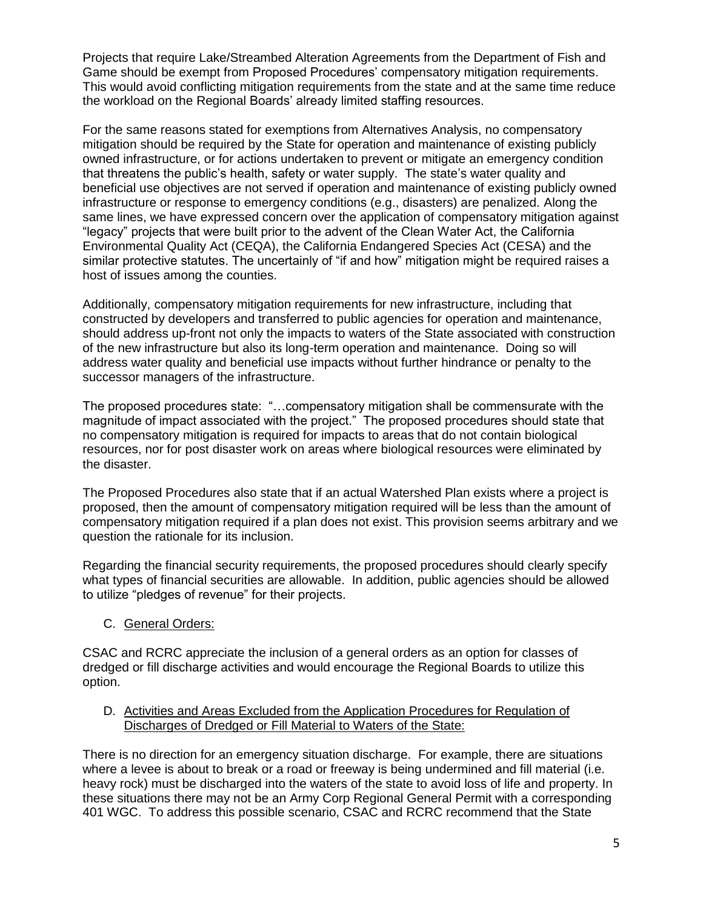Projects that require Lake/Streambed Alteration Agreements from the Department of Fish and Game should be exempt from Proposed Procedures' compensatory mitigation requirements. This would avoid conflicting mitigation requirements from the state and at the same time reduce the workload on the Regional Boards' already limited staffing resources.

For the same reasons stated for exemptions from Alternatives Analysis, no compensatory mitigation should be required by the State for operation and maintenance of existing publicly owned infrastructure, or for actions undertaken to prevent or mitigate an emergency condition that threatens the public's health, safety or water supply. The state's water quality and beneficial use objectives are not served if operation and maintenance of existing publicly owned infrastructure or response to emergency conditions (e.g., disasters) are penalized. Along the same lines, we have expressed concern over the application of compensatory mitigation against "legacy" projects that were built prior to the advent of the Clean Water Act, the California Environmental Quality Act (CEQA), the California Endangered Species Act (CESA) and the similar protective statutes. The uncertainly of "if and how" mitigation might be required raises a host of issues among the counties.

Additionally, compensatory mitigation requirements for new infrastructure, including that constructed by developers and transferred to public agencies for operation and maintenance, should address up-front not only the impacts to waters of the State associated with construction of the new infrastructure but also its long-term operation and maintenance. Doing so will address water quality and beneficial use impacts without further hindrance or penalty to the successor managers of the infrastructure.

The proposed procedures state: "…compensatory mitigation shall be commensurate with the magnitude of impact associated with the project." The proposed procedures should state that no compensatory mitigation is required for impacts to areas that do not contain biological resources, nor for post disaster work on areas where biological resources were eliminated by the disaster.

The Proposed Procedures also state that if an actual Watershed Plan exists where a project is proposed, then the amount of compensatory mitigation required will be less than the amount of compensatory mitigation required if a plan does not exist. This provision seems arbitrary and we question the rationale for its inclusion.

Regarding the financial security requirements, the proposed procedures should clearly specify what types of financial securities are allowable. In addition, public agencies should be allowed to utilize "pledges of revenue" for their projects.

C. General Orders:

CSAC and RCRC appreciate the inclusion of a general orders as an option for classes of dredged or fill discharge activities and would encourage the Regional Boards to utilize this option.

#### D. Activities and Areas Excluded from the Application Procedures for Regulation of Discharges of Dredged or Fill Material to Waters of the State:

There is no direction for an emergency situation discharge. For example, there are situations where a levee is about to break or a road or freeway is being undermined and fill material (i.e. heavy rock) must be discharged into the waters of the state to avoid loss of life and property. In these situations there may not be an Army Corp Regional General Permit with a corresponding 401 WGC. To address this possible scenario, CSAC and RCRC recommend that the State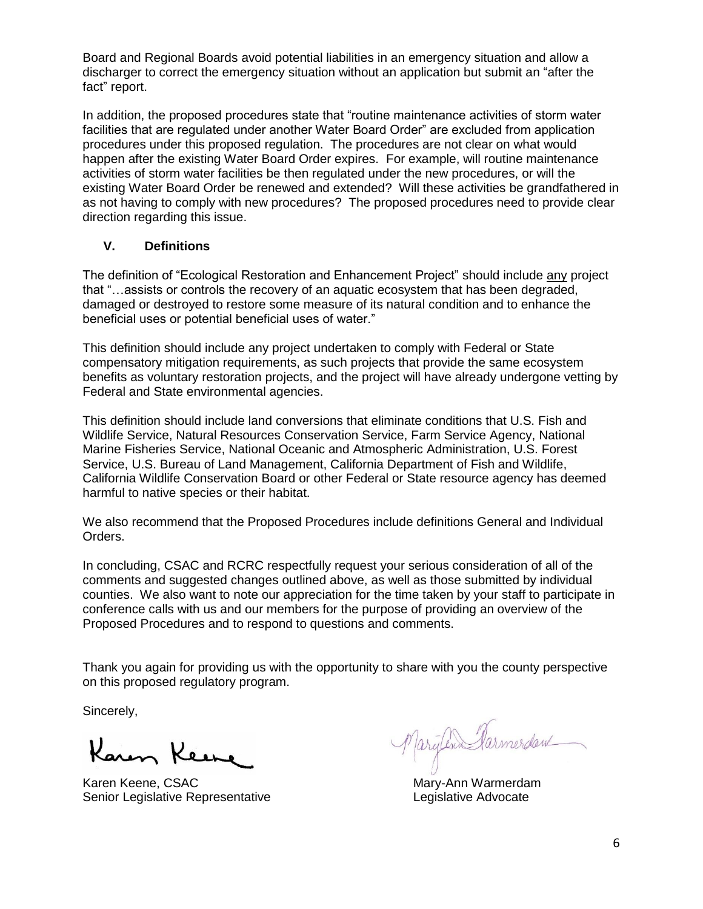Board and Regional Boards avoid potential liabilities in an emergency situation and allow a discharger to correct the emergency situation without an application but submit an "after the fact" report.

In addition, the proposed procedures state that "routine maintenance activities of storm water facilities that are regulated under another Water Board Order" are excluded from application procedures under this proposed regulation. The procedures are not clear on what would happen after the existing Water Board Order expires. For example, will routine maintenance activities of storm water facilities be then regulated under the new procedures, or will the existing Water Board Order be renewed and extended? Will these activities be grandfathered in as not having to comply with new procedures? The proposed procedures need to provide clear direction regarding this issue.

## **V. Definitions**

The definition of "Ecological Restoration and Enhancement Project" should include any project that "…assists or controls the recovery of an aquatic ecosystem that has been degraded, damaged or destroyed to restore some measure of its natural condition and to enhance the beneficial uses or potential beneficial uses of water."

This definition should include any project undertaken to comply with Federal or State compensatory mitigation requirements, as such projects that provide the same ecosystem benefits as voluntary restoration projects, and the project will have already undergone vetting by Federal and State environmental agencies.

This definition should include land conversions that eliminate conditions that U.S. Fish and Wildlife Service, Natural Resources Conservation Service, Farm Service Agency, National Marine Fisheries Service, National Oceanic and Atmospheric Administration, U.S. Forest Service, U.S. Bureau of Land Management, California Department of Fish and Wildlife, California Wildlife Conservation Board or other Federal or State resource agency has deemed harmful to native species or their habitat.

We also recommend that the Proposed Procedures include definitions General and Individual Orders.

In concluding, CSAC and RCRC respectfully request your serious consideration of all of the comments and suggested changes outlined above, as well as those submitted by individual counties. We also want to note our appreciation for the time taken by your staff to participate in conference calls with us and our members for the purpose of providing an overview of the Proposed Procedures and to respond to questions and comments.

Thank you again for providing us with the opportunity to share with you the county perspective on this proposed regulatory program.

Sincerely,

Karen Keene

Karen Keene, CSAC Mary-Ann Warmerdam Senior Legislative Representative **Legislative Advocate** 

Marylin Parmerdan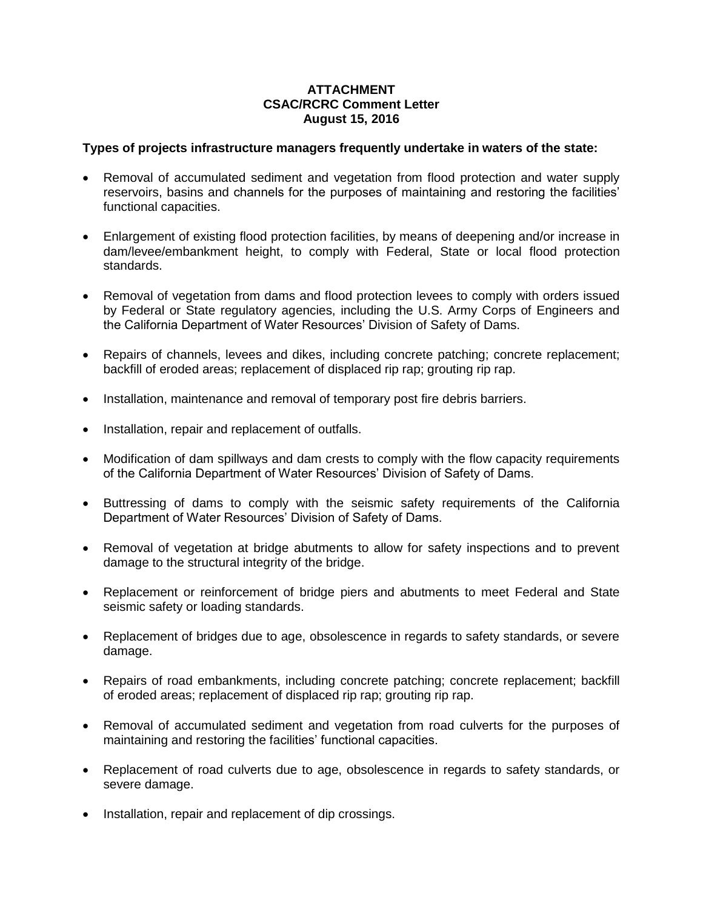### **ATTACHMENT CSAC/RCRC Comment Letter August 15, 2016**

#### **Types of projects infrastructure managers frequently undertake in waters of the state:**

- Removal of accumulated sediment and vegetation from flood protection and water supply reservoirs, basins and channels for the purposes of maintaining and restoring the facilities' functional capacities.
- Enlargement of existing flood protection facilities, by means of deepening and/or increase in dam/levee/embankment height, to comply with Federal, State or local flood protection standards.
- Removal of vegetation from dams and flood protection levees to comply with orders issued by Federal or State regulatory agencies, including the U.S. Army Corps of Engineers and the California Department of Water Resources' Division of Safety of Dams.
- Repairs of channels, levees and dikes, including concrete patching; concrete replacement; backfill of eroded areas; replacement of displaced rip rap; grouting rip rap.
- Installation, maintenance and removal of temporary post fire debris barriers.
- Installation, repair and replacement of outfalls.
- Modification of dam spillways and dam crests to comply with the flow capacity requirements of the California Department of Water Resources' Division of Safety of Dams.
- Buttressing of dams to comply with the seismic safety requirements of the California Department of Water Resources' Division of Safety of Dams.
- Removal of vegetation at bridge abutments to allow for safety inspections and to prevent damage to the structural integrity of the bridge.
- Replacement or reinforcement of bridge piers and abutments to meet Federal and State seismic safety or loading standards.
- Replacement of bridges due to age, obsolescence in regards to safety standards, or severe damage.
- Repairs of road embankments, including concrete patching; concrete replacement; backfill of eroded areas; replacement of displaced rip rap; grouting rip rap.
- Removal of accumulated sediment and vegetation from road culverts for the purposes of maintaining and restoring the facilities' functional capacities.
- Replacement of road culverts due to age, obsolescence in regards to safety standards, or severe damage.
- Installation, repair and replacement of dip crossings.